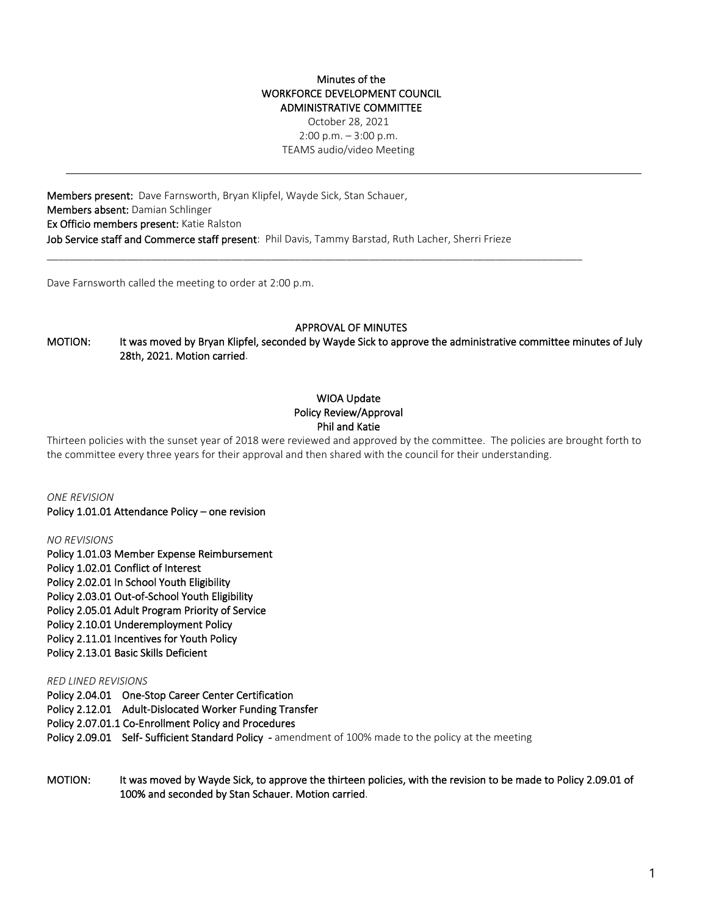### Minutes of the WORKFORCE DEVELOPMENT COUNCIL ADMINISTRATIVE COMMITTEE

October 28, 2021 2:00 p.m. – 3:00 p.m. TEAMS audio/video Meeting

Members present: Dave Farnsworth, Bryan Klipfel, Wayde Sick, Stan Schauer, Members absent: Damian Schlinger Ex Officio members present: Katie Ralston Job Service staff and Commerce staff present: Phil Davis, Tammy Barstad, Ruth Lacher, Sherri Frieze

 $\_$  ,  $\_$  ,  $\_$  ,  $\_$  ,  $\_$  ,  $\_$  ,  $\_$  ,  $\_$  ,  $\_$  ,  $\_$  ,  $\_$  ,  $\_$  ,  $\_$  ,  $\_$  ,  $\_$  ,  $\_$  ,  $\_$  ,  $\_$  ,  $\_$  ,  $\_$  ,  $\_$  ,  $\_$  ,  $\_$  ,  $\_$  ,  $\_$  ,  $\_$  ,  $\_$  ,  $\_$  ,  $\_$  ,  $\_$  ,  $\_$  ,  $\_$  ,  $\_$  ,  $\_$  ,  $\_$  ,  $\_$  ,  $\_$  ,

Dave Farnsworth called the meeting to order at 2:00 p.m.

### APPROVAL OF MINUTES

MOTION: It was moved by Bryan Klipfel, seconded by Wayde Sick to approve the administrative committee minutes of July 28th, 2021. Motion carried.

# WIOA Update Policy Review/Approval Phil and Katie

Thirteen policies with the sunset year of 2018 were reviewed and approved by the committee. The policies are brought forth to the committee every three years for their approval and then shared with the council for their understanding.

*ONE REVISION*  Policy 1.01.01 Attendance Policy – one revision

*NO REVISIONS*

Policy 1.01.03 Member Expense Reimbursement Policy 1.02.01 Conflict of Interest Policy 2.02.01 In School Youth Eligibility Policy 2.03.01 Out-of-School Youth Eligibility Policy 2.05.01 Adult Program Priority of Service Policy 2.10.01 Underemployment Policy Policy 2.11.01 Incentives for Youth Policy Policy 2.13.01 Basic Skills Deficient

### *RED LINED REVISIONS*

Policy 2.04.01 One-Stop Career Center Certification

Policy 2.12.01 Adult-Dislocated Worker Funding Transfer

Policy 2.07.01.1 Co-Enrollment Policy and Procedures

Policy 2.09.01 Self- Sufficient Standard Policy - amendment of 100% made to the policy at the meeting

MOTION: It was moved by Wayde Sick, to approve the thirteen policies, with the revision to be made to Policy 2.09.01 of 100% and seconded by Stan Schauer. Motion carried.